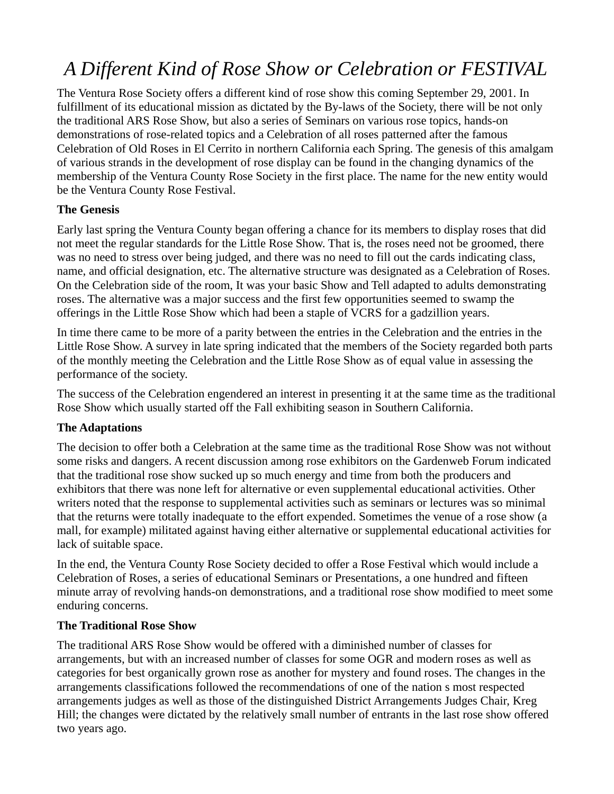# *A Different Kind of Rose Show or Celebration or FESTIVAL*

The Ventura Rose Society offers a different kind of rose show this coming September 29, 2001. In fulfillment of its educational mission as dictated by the By-laws of the Society, there will be not only the traditional ARS Rose Show, but also a series of Seminars on various rose topics, hands-on demonstrations of rose-related topics and a Celebration of all roses patterned after the famous Celebration of Old Roses in El Cerrito in northern California each Spring. The genesis of this amalgam of various strands in the development of rose display can be found in the changing dynamics of the membership of the Ventura County Rose Society in the first place. The name for the new entity would be the Ventura County Rose Festival.

## **The Genesis**

Early last spring the Ventura County began offering a chance for its members to display roses that did not meet the regular standards for the Little Rose Show. That is, the roses need not be groomed, there was no need to stress over being judged, and there was no need to fill out the cards indicating class, name, and official designation, etc. The alternative structure was designated as a Celebration of Roses. On the Celebration side of the room, It was your basic Show and Tell adapted to adults demonstrating roses. The alternative was a major success and the first few opportunities seemed to swamp the offerings in the Little Rose Show which had been a staple of VCRS for a gadzillion years.

In time there came to be more of a parity between the entries in the Celebration and the entries in the Little Rose Show. A survey in late spring indicated that the members of the Society regarded both parts of the monthly meeting the Celebration and the Little Rose Show as of equal value in assessing the performance of the society.

The success of the Celebration engendered an interest in presenting it at the same time as the traditional Rose Show which usually started off the Fall exhibiting season in Southern California.

#### **The Adaptations**

The decision to offer both a Celebration at the same time as the traditional Rose Show was not without some risks and dangers. A recent discussion among rose exhibitors on the Gardenweb Forum indicated that the traditional rose show sucked up so much energy and time from both the producers and exhibitors that there was none left for alternative or even supplemental educational activities. Other writers noted that the response to supplemental activities such as seminars or lectures was so minimal that the returns were totally inadequate to the effort expended. Sometimes the venue of a rose show (a mall, for example) militated against having either alternative or supplemental educational activities for lack of suitable space.

In the end, the Ventura County Rose Society decided to offer a Rose Festival which would include a Celebration of Roses, a series of educational Seminars or Presentations, a one hundred and fifteen minute array of revolving hands-on demonstrations, and a traditional rose show modified to meet some enduring concerns.

#### **The Traditional Rose Show**

The traditional ARS Rose Show would be offered with a diminished number of classes for arrangements, but with an increased number of classes for some OGR and modern roses as well as categories for best organically grown rose as another for mystery and found roses. The changes in the arrangements classifications followed the recommendations of one of the nation s most respected arrangements judges as well as those of the distinguished District Arrangements Judges Chair, Kreg Hill; the changes were dictated by the relatively small number of entrants in the last rose show offered two years ago.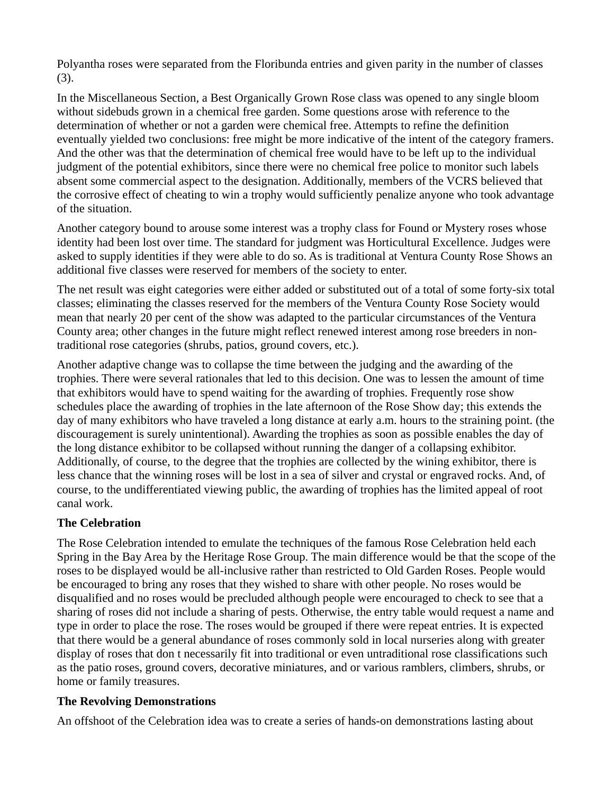Polyantha roses were separated from the Floribunda entries and given parity in the number of classes (3).

In the Miscellaneous Section, a Best Organically Grown Rose class was opened to any single bloom without sidebuds grown in a chemical free garden. Some questions arose with reference to the determination of whether or not a garden were chemical free. Attempts to refine the definition eventually yielded two conclusions: free might be more indicative of the intent of the category framers. And the other was that the determination of chemical free would have to be left up to the individual judgment of the potential exhibitors, since there were no chemical free police to monitor such labels absent some commercial aspect to the designation. Additionally, members of the VCRS believed that the corrosive effect of cheating to win a trophy would sufficiently penalize anyone who took advantage of the situation.

Another category bound to arouse some interest was a trophy class for Found or Mystery roses whose identity had been lost over time. The standard for judgment was Horticultural Excellence. Judges were asked to supply identities if they were able to do so. As is traditional at Ventura County Rose Shows an additional five classes were reserved for members of the society to enter.

The net result was eight categories were either added or substituted out of a total of some forty-six total classes; eliminating the classes reserved for the members of the Ventura County Rose Society would mean that nearly 20 per cent of the show was adapted to the particular circumstances of the Ventura County area; other changes in the future might reflect renewed interest among rose breeders in nontraditional rose categories (shrubs, patios, ground covers, etc.).

Another adaptive change was to collapse the time between the judging and the awarding of the trophies. There were several rationales that led to this decision. One was to lessen the amount of time that exhibitors would have to spend waiting for the awarding of trophies. Frequently rose show schedules place the awarding of trophies in the late afternoon of the Rose Show day; this extends the day of many exhibitors who have traveled a long distance at early a.m. hours to the straining point. (the discouragement is surely unintentional). Awarding the trophies as soon as possible enables the day of the long distance exhibitor to be collapsed without running the danger of a collapsing exhibitor. Additionally, of course, to the degree that the trophies are collected by the wining exhibitor, there is less chance that the winning roses will be lost in a sea of silver and crystal or engraved rocks. And, of course, to the undifferentiated viewing public, the awarding of trophies has the limited appeal of root canal work.

#### **The Celebration**

The Rose Celebration intended to emulate the techniques of the famous Rose Celebration held each Spring in the Bay Area by the Heritage Rose Group. The main difference would be that the scope of the roses to be displayed would be all-inclusive rather than restricted to Old Garden Roses. People would be encouraged to bring any roses that they wished to share with other people. No roses would be disqualified and no roses would be precluded although people were encouraged to check to see that a sharing of roses did not include a sharing of pests. Otherwise, the entry table would request a name and type in order to place the rose. The roses would be grouped if there were repeat entries. It is expected that there would be a general abundance of roses commonly sold in local nurseries along with greater display of roses that don t necessarily fit into traditional or even untraditional rose classifications such as the patio roses, ground covers, decorative miniatures, and or various ramblers, climbers, shrubs, or home or family treasures.

#### **The Revolving Demonstrations**

An offshoot of the Celebration idea was to create a series of hands-on demonstrations lasting about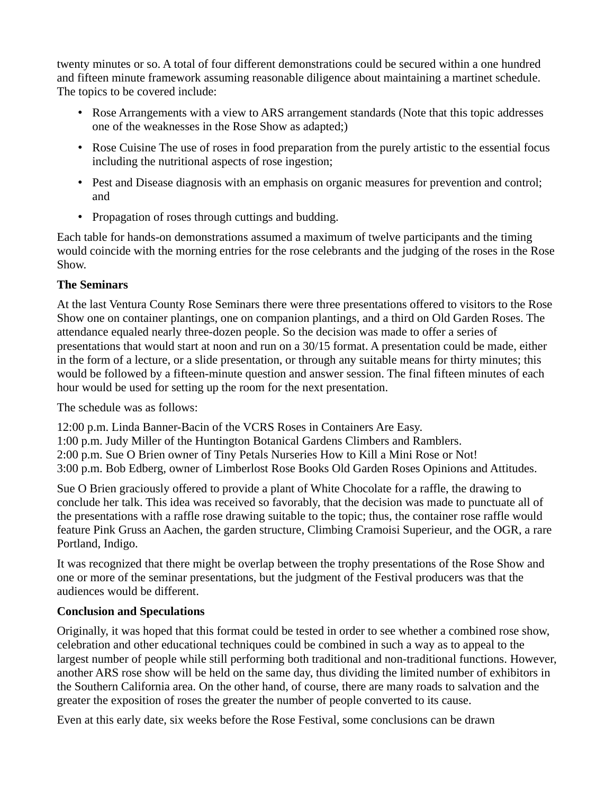twenty minutes or so. A total of four different demonstrations could be secured within a one hundred and fifteen minute framework assuming reasonable diligence about maintaining a martinet schedule. The topics to be covered include:

- Rose Arrangements with a view to ARS arrangement standards (Note that this topic addresses one of the weaknesses in the Rose Show as adapted;)
- Rose Cuisine The use of roses in food preparation from the purely artistic to the essential focus including the nutritional aspects of rose ingestion;
- Pest and Disease diagnosis with an emphasis on organic measures for prevention and control; and
- Propagation of roses through cuttings and budding.

Each table for hands-on demonstrations assumed a maximum of twelve participants and the timing would coincide with the morning entries for the rose celebrants and the judging of the roses in the Rose Show.

## **The Seminars**

At the last Ventura County Rose Seminars there were three presentations offered to visitors to the Rose Show one on container plantings, one on companion plantings, and a third on Old Garden Roses. The attendance equaled nearly three-dozen people. So the decision was made to offer a series of presentations that would start at noon and run on a 30/15 format. A presentation could be made, either in the form of a lecture, or a slide presentation, or through any suitable means for thirty minutes; this would be followed by a fifteen-minute question and answer session. The final fifteen minutes of each hour would be used for setting up the room for the next presentation.

The schedule was as follows:

12:00 p.m. Linda Banner-Bacin of the VCRS Roses in Containers Are Easy.

1:00 p.m. Judy Miller of the Huntington Botanical Gardens Climbers and Ramblers.

2:00 p.m. Sue O Brien owner of Tiny Petals Nurseries How to Kill a Mini Rose or Not!

3:00 p.m. Bob Edberg, owner of Limberlost Rose Books Old Garden Roses Opinions and Attitudes.

Sue O Brien graciously offered to provide a plant of White Chocolate for a raffle, the drawing to conclude her talk. This idea was received so favorably, that the decision was made to punctuate all of the presentations with a raffle rose drawing suitable to the topic; thus, the container rose raffle would feature Pink Gruss an Aachen, the garden structure, Climbing Cramoisi Superieur, and the OGR, a rare Portland, Indigo.

It was recognized that there might be overlap between the trophy presentations of the Rose Show and one or more of the seminar presentations, but the judgment of the Festival producers was that the audiences would be different.

# **Conclusion and Speculations**

Originally, it was hoped that this format could be tested in order to see whether a combined rose show, celebration and other educational techniques could be combined in such a way as to appeal to the largest number of people while still performing both traditional and non-traditional functions. However, another ARS rose show will be held on the same day, thus dividing the limited number of exhibitors in the Southern California area. On the other hand, of course, there are many roads to salvation and the greater the exposition of roses the greater the number of people converted to its cause.

Even at this early date, six weeks before the Rose Festival, some conclusions can be drawn